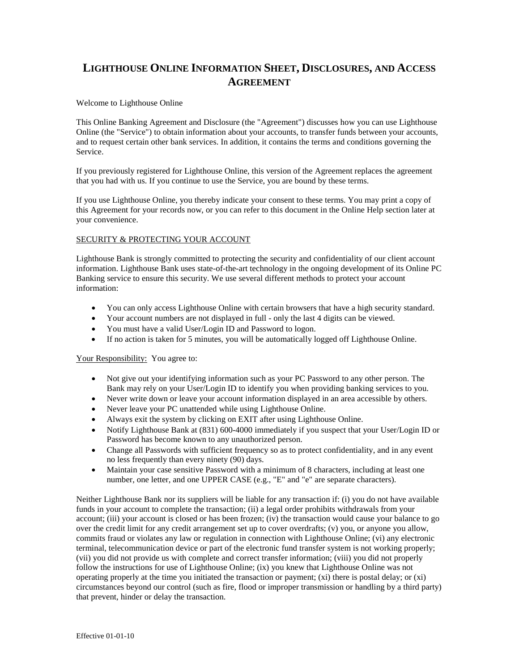# **LIGHTHOUSE ONLINE INFORMATION SHEET, DISCLOSURES, AND ACCESS AGREEMENT**

# Welcome to Lighthouse Online

This Online Banking Agreement and Disclosure (the "Agreement") discusses how you can use Lighthouse Online (the "Service") to obtain information about your accounts, to transfer funds between your accounts, and to request certain other bank services. In addition, it contains the terms and conditions governing the Service.

If you previously registered for Lighthouse Online, this version of the Agreement replaces the agreement that you had with us. If you continue to use the Service, you are bound by these terms.

If you use Lighthouse Online, you thereby indicate your consent to these terms. You may print a copy of this Agreement for your records now, or you can refer to this document in the Online Help section later at your convenience.

## SECURITY & PROTECTING YOUR ACCOUNT

Lighthouse Bank is strongly committed to protecting the security and confidentiality of our client account information. Lighthouse Bank uses state-of-the-art technology in the ongoing development of its Online PC Banking service to ensure this security. We use several different methods to protect your account information:

- You can only access Lighthouse Online with certain browsers that have a high security standard.
- Your account numbers are not displayed in full only the last 4 digits can be viewed.
- You must have a valid User/Login ID and Password to logon.
- If no action is taken for 5 minutes, you will be automatically logged off Lighthouse Online.

### Your Responsibility: You agree to:

- Not give out your identifying information such as your PC Password to any other person. The Bank may rely on your User/Login ID to identify you when providing banking services to you.
- Never write down or leave your account information displayed in an area accessible by others.
- Never leave your PC unattended while using Lighthouse Online.
- Always exit the system by clicking on EXIT after using Lighthouse Online.
- Notify Lighthouse Bank at (831) 600-4000 immediately if you suspect that your User/Login ID or Password has become known to any unauthorized person.
- Change all Passwords with sufficient frequency so as to protect confidentiality, and in any event no less frequently than every ninety (90) days.
- Maintain your case sensitive Password with a minimum of 8 characters, including at least one number, one letter, and one UPPER CASE (e.g., "E" and "e" are separate characters).

Neither Lighthouse Bank nor its suppliers will be liable for any transaction if: (i) you do not have available funds in your account to complete the transaction; (ii) a legal order prohibits withdrawals from your account; (iii) your account is closed or has been frozen; (iv) the transaction would cause your balance to go over the credit limit for any credit arrangement set up to cover overdrafts; (v) you, or anyone you allow, commits fraud or violates any law or regulation in connection with Lighthouse Online; (vi) any electronic terminal, telecommunication device or part of the electronic fund transfer system is not working properly; (vii) you did not provide us with complete and correct transfer information; (viii) you did not properly follow the instructions for use of Lighthouse Online; (ix) you knew that Lighthouse Online was not operating properly at the time you initiated the transaction or payment;  $(xi)$  there is postal delay; or  $(xi)$ circumstances beyond our control (such as fire, flood or improper transmission or handling by a third party) that prevent, hinder or delay the transaction.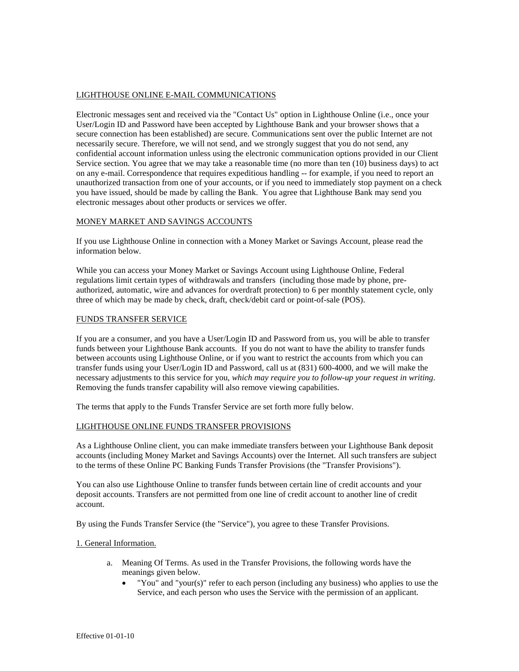# LIGHTHOUSE ONLINE E-MAIL COMMUNICATIONS

Electronic messages sent and received via the "Contact Us" option in Lighthouse Online (i.e., once your User/Login ID and Password have been accepted by Lighthouse Bank and your browser shows that a secure connection has been established) are secure. Communications sent over the public Internet are not necessarily secure. Therefore, we will not send, and we strongly suggest that you do not send, any confidential account information unless using the electronic communication options provided in our Client Service section. You agree that we may take a reasonable time (no more than ten (10) business days) to act on any e-mail. Correspondence that requires expeditious handling -- for example, if you need to report an unauthorized transaction from one of your accounts, or if you need to immediately stop payment on a check you have issued, should be made by calling the Bank. You agree that Lighthouse Bank may send you electronic messages about other products or services we offer.

## MONEY MARKET AND SAVINGS ACCOUNTS

If you use Lighthouse Online in connection with a Money Market or Savings Account, please read the information below.

While you can access your Money Market or Savings Account using Lighthouse Online, Federal regulations limit certain types of withdrawals and transfers (including those made by phone, preauthorized, automatic, wire and advances for overdraft protection) to 6 per monthly statement cycle, only three of which may be made by check, draft, check/debit card or point-of-sale (POS).

### FUNDS TRANSFER SERVICE

If you are a consumer, and you have a User/Login ID and Password from us, you will be able to transfer funds between your Lighthouse Bank accounts. If you do not want to have the ability to transfer funds between accounts using Lighthouse Online, or if you want to restrict the accounts from which you can transfer funds using your User/Login ID and Password, call us at (831) 600-4000, and we will make the necessary adjustments to this service for you*, which may require you to follow-up your request in writing*. Removing the funds transfer capability will also remove viewing capabilities.

The terms that apply to the Funds Transfer Service are set forth more fully below.

### LIGHTHOUSE ONLINE FUNDS TRANSFER PROVISIONS

As a Lighthouse Online client, you can make immediate transfers between your Lighthouse Bank deposit accounts (including Money Market and Savings Accounts) over the Internet. All such transfers are subject to the terms of these Online PC Banking Funds Transfer Provisions (the "Transfer Provisions").

You can also use Lighthouse Online to transfer funds between certain line of credit accounts and your deposit accounts. Transfers are not permitted from one line of credit account to another line of credit account.

By using the Funds Transfer Service (the "Service"), you agree to these Transfer Provisions.

### 1. General Information.

- a. Meaning Of Terms. As used in the Transfer Provisions, the following words have the meanings given below.
	- "You" and "your(s)" refer to each person (including any business) who applies to use the Service, and each person who uses the Service with the permission of an applicant.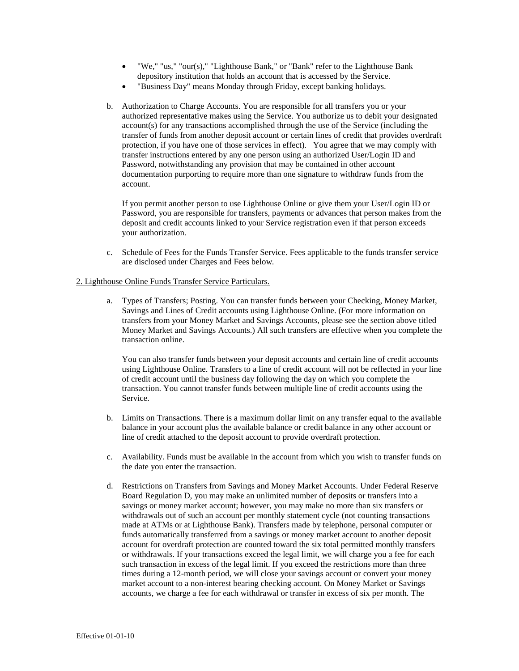- "We," "us," "our(s)," "Lighthouse Bank," or "Bank" refer to the Lighthouse Bank depository institution that holds an account that is accessed by the Service.
- "Business Day" means Monday through Friday, except banking holidays.
- b. Authorization to Charge Accounts. You are responsible for all transfers you or your authorized representative makes using the Service. You authorize us to debit your designated account(s) for any transactions accomplished through the use of the Service (including the transfer of funds from another deposit account or certain lines of credit that provides overdraft protection, if you have one of those services in effect). You agree that we may comply with transfer instructions entered by any one person using an authorized User/Login ID and Password, notwithstanding any provision that may be contained in other account documentation purporting to require more than one signature to withdraw funds from the account.

If you permit another person to use Lighthouse Online or give them your User/Login ID or Password, you are responsible for transfers, payments or advances that person makes from the deposit and credit accounts linked to your Service registration even if that person exceeds your authorization.

c. Schedule of Fees for the Funds Transfer Service. Fees applicable to the funds transfer service are disclosed under Charges and Fees below.

## 2. Lighthouse Online Funds Transfer Service Particulars.

a. Types of Transfers; Posting. You can transfer funds between your Checking, Money Market, Savings and Lines of Credit accounts using Lighthouse Online. (For more information on transfers from your Money Market and Savings Accounts, please see the section above titled Money Market and Savings Accounts.) All such transfers are effective when you complete the transaction online.

You can also transfer funds between your deposit accounts and certain line of credit accounts using Lighthouse Online. Transfers to a line of credit account will not be reflected in your line of credit account until the business day following the day on which you complete the transaction. You cannot transfer funds between multiple line of credit accounts using the Service.

- b. Limits on Transactions. There is a maximum dollar limit on any transfer equal to the available balance in your account plus the available balance or credit balance in any other account or line of credit attached to the deposit account to provide overdraft protection.
- c. Availability. Funds must be available in the account from which you wish to transfer funds on the date you enter the transaction.
- d. Restrictions on Transfers from Savings and Money Market Accounts. Under Federal Reserve Board Regulation D, you may make an unlimited number of deposits or transfers into a savings or money market account; however, you may make no more than six transfers or withdrawals out of such an account per monthly statement cycle (not counting transactions made at ATMs or at Lighthouse Bank). Transfers made by telephone, personal computer or funds automatically transferred from a savings or money market account to another deposit account for overdraft protection are counted toward the six total permitted monthly transfers or withdrawals. If your transactions exceed the legal limit, we will charge you a fee for each such transaction in excess of the legal limit. If you exceed the restrictions more than three times during a 12-month period, we will close your savings account or convert your money market account to a non-interest bearing checking account. On Money Market or Savings accounts, we charge a fee for each withdrawal or transfer in excess of six per month. The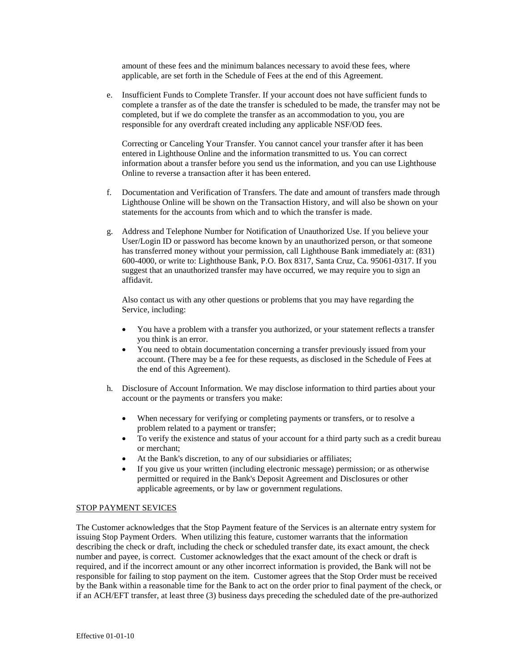amount of these fees and the minimum balances necessary to avoid these fees, where applicable, are set forth in the Schedule of Fees at the end of this Agreement.

e. Insufficient Funds to Complete Transfer. If your account does not have sufficient funds to complete a transfer as of the date the transfer is scheduled to be made, the transfer may not be completed, but if we do complete the transfer as an accommodation to you, you are responsible for any overdraft created including any applicable NSF/OD fees.

Correcting or Canceling Your Transfer. You cannot cancel your transfer after it has been entered in Lighthouse Online and the information transmitted to us. You can correct information about a transfer before you send us the information, and you can use Lighthouse Online to reverse a transaction after it has been entered.

- f. Documentation and Verification of Transfers. The date and amount of transfers made through Lighthouse Online will be shown on the Transaction History, and will also be shown on your statements for the accounts from which and to which the transfer is made.
- g. Address and Telephone Number for Notification of Unauthorized Use. If you believe your User/Login ID or password has become known by an unauthorized person, or that someone has transferred money without your permission, call Lighthouse Bank immediately at: (831) 600-4000, or write to: Lighthouse Bank, P.O. Box 8317, Santa Cruz, Ca. 95061-0317. If you suggest that an unauthorized transfer may have occurred, we may require you to sign an affidavit.

Also contact us with any other questions or problems that you may have regarding the Service, including:

- You have a problem with a transfer you authorized, or your statement reflects a transfer you think is an error.
- You need to obtain documentation concerning a transfer previously issued from your account. (There may be a fee for these requests, as disclosed in the Schedule of Fees at the end of this Agreement).
- h. Disclosure of Account Information. We may disclose information to third parties about your account or the payments or transfers you make:
	- When necessary for verifying or completing payments or transfers, or to resolve a problem related to a payment or transfer;
	- To verify the existence and status of your account for a third party such as a credit bureau or merchant;
	- At the Bank's discretion, to any of our subsidiaries or affiliates;
	- If you give us your written (including electronic message) permission; or as otherwise permitted or required in the Bank's Deposit Agreement and Disclosures or other applicable agreements, or by law or government regulations.

# STOP PAYMENT SEVICES

The Customer acknowledges that the Stop Payment feature of the Services is an alternate entry system for issuing Stop Payment Orders. When utilizing this feature, customer warrants that the information describing the check or draft, including the check or scheduled transfer date, its exact amount, the check number and payee, is correct. Customer acknowledges that the exact amount of the check or draft is required, and if the incorrect amount or any other incorrect information is provided, the Bank will not be responsible for failing to stop payment on the item. Customer agrees that the Stop Order must be received by the Bank within a reasonable time for the Bank to act on the order prior to final payment of the check, or if an ACH/EFT transfer, at least three (3) business days preceding the scheduled date of the pre-authorized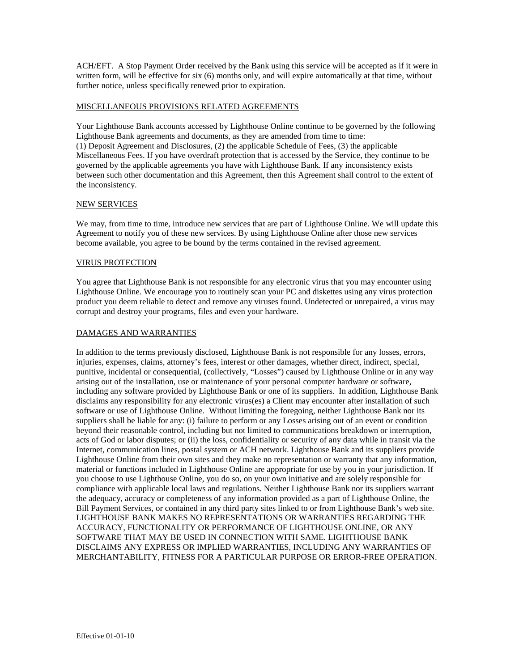ACH/EFT. A Stop Payment Order received by the Bank using this service will be accepted as if it were in written form, will be effective for six (6) months only, and will expire automatically at that time, without further notice, unless specifically renewed prior to expiration.

# MISCELLANEOUS PROVISIONS RELATED AGREEMENTS

Your Lighthouse Bank accounts accessed by Lighthouse Online continue to be governed by the following Lighthouse Bank agreements and documents, as they are amended from time to time: (1) Deposit Agreement and Disclosures, (2) the applicable Schedule of Fees, (3) the applicable Miscellaneous Fees. If you have overdraft protection that is accessed by the Service, they continue to be governed by the applicable agreements you have with Lighthouse Bank. If any inconsistency exists between such other documentation and this Agreement, then this Agreement shall control to the extent of the inconsistency.

## NEW SERVICES

We may, from time to time, introduce new services that are part of Lighthouse Online. We will update this Agreement to notify you of these new services. By using Lighthouse Online after those new services become available, you agree to be bound by the terms contained in the revised agreement.

## VIRUS PROTECTION

You agree that Lighthouse Bank is not responsible for any electronic virus that you may encounter using Lighthouse Online. We encourage you to routinely scan your PC and diskettes using any virus protection product you deem reliable to detect and remove any viruses found. Undetected or unrepaired, a virus may corrupt and destroy your programs, files and even your hardware.

## DAMAGES AND WARRANTIES

In addition to the terms previously disclosed, Lighthouse Bank is not responsible for any losses, errors, injuries, expenses, claims, attorney's fees, interest or other damages, whether direct, indirect, special, punitive, incidental or consequential, (collectively, "Losses") caused by Lighthouse Online or in any way arising out of the installation, use or maintenance of your personal computer hardware or software, including any software provided by Lighthouse Bank or one of its suppliers. In addition, Lighthouse Bank disclaims any responsibility for any electronic virus(es) a Client may encounter after installation of such software or use of Lighthouse Online. Without limiting the foregoing, neither Lighthouse Bank nor its suppliers shall be liable for any: (i) failure to perform or any Losses arising out of an event or condition beyond their reasonable control, including but not limited to communications breakdown or interruption, acts of God or labor disputes; or (ii) the loss, confidentiality or security of any data while in transit via the Internet, communication lines, postal system or ACH network. Lighthouse Bank and its suppliers provide Lighthouse Online from their own sites and they make no representation or warranty that any information, material or functions included in Lighthouse Online are appropriate for use by you in your jurisdiction. If you choose to use Lighthouse Online, you do so, on your own initiative and are solely responsible for compliance with applicable local laws and regulations. Neither Lighthouse Bank nor its suppliers warrant the adequacy, accuracy or completeness of any information provided as a part of Lighthouse Online, the Bill Payment Services, or contained in any third party sites linked to or from Lighthouse Bank's web site. LIGHTHOUSE BANK MAKES NO REPRESENTATIONS OR WARRANTIES REGARDING THE ACCURACY, FUNCTIONALITY OR PERFORMANCE OF LIGHTHOUSE ONLINE, OR ANY SOFTWARE THAT MAY BE USED IN CONNECTION WITH SAME. LIGHTHOUSE BANK DISCLAIMS ANY EXPRESS OR IMPLIED WARRANTIES, INCLUDING ANY WARRANTIES OF MERCHANTABILITY, FITNESS FOR A PARTICULAR PURPOSE OR ERROR-FREE OPERATION.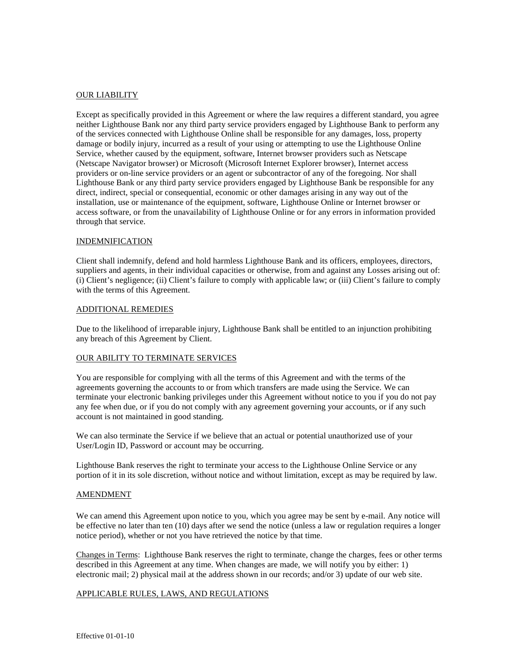## OUR LIABILITY

Except as specifically provided in this Agreement or where the law requires a different standard, you agree neither Lighthouse Bank nor any third party service providers engaged by Lighthouse Bank to perform any of the services connected with Lighthouse Online shall be responsible for any damages, loss, property damage or bodily injury, incurred as a result of your using or attempting to use the Lighthouse Online Service, whether caused by the equipment, software, Internet browser providers such as Netscape (Netscape Navigator browser) or Microsoft (Microsoft Internet Explorer browser), Internet access providers or on-line service providers or an agent or subcontractor of any of the foregoing. Nor shall Lighthouse Bank or any third party service providers engaged by Lighthouse Bank be responsible for any direct, indirect, special or consequential, economic or other damages arising in any way out of the installation, use or maintenance of the equipment, software, Lighthouse Online or Internet browser or access software, or from the unavailability of Lighthouse Online or for any errors in information provided through that service.

#### INDEMNIFICATION

Client shall indemnify, defend and hold harmless Lighthouse Bank and its officers, employees, directors, suppliers and agents, in their individual capacities or otherwise, from and against any Losses arising out of: (i) Client's negligence; (ii) Client's failure to comply with applicable law; or (iii) Client's failure to comply with the terms of this Agreement.

#### ADDITIONAL REMEDIES

Due to the likelihood of irreparable injury, Lighthouse Bank shall be entitled to an injunction prohibiting any breach of this Agreement by Client.

### OUR ABILITY TO TERMINATE SERVICES

You are responsible for complying with all the terms of this Agreement and with the terms of the agreements governing the accounts to or from which transfers are made using the Service. We can terminate your electronic banking privileges under this Agreement without notice to you if you do not pay any fee when due, or if you do not comply with any agreement governing your accounts, or if any such account is not maintained in good standing.

We can also terminate the Service if we believe that an actual or potential unauthorized use of your User/Login ID, Password or account may be occurring.

Lighthouse Bank reserves the right to terminate your access to the Lighthouse Online Service or any portion of it in its sole discretion, without notice and without limitation, except as may be required by law.

#### AMENDMENT

We can amend this Agreement upon notice to you, which you agree may be sent by e-mail. Any notice will be effective no later than ten (10) days after we send the notice (unless a law or regulation requires a longer notice period), whether or not you have retrieved the notice by that time.

Changes in Terms: Lighthouse Bank reserves the right to terminate, change the charges, fees or other terms described in this Agreement at any time. When changes are made, we will notify you by either: 1) electronic mail; 2) physical mail at the address shown in our records; and/or 3) update of our web site.

## APPLICABLE RULES, LAWS, AND REGULATIONS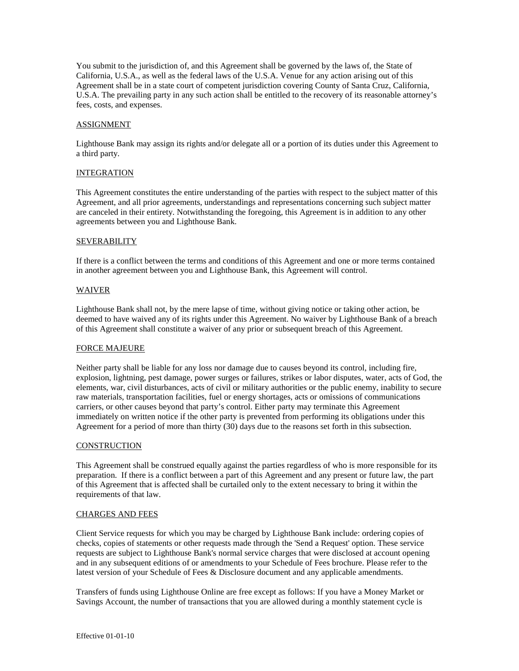You submit to the jurisdiction of, and this Agreement shall be governed by the laws of, the State of California, U.S.A., as well as the federal laws of the U.S.A. Venue for any action arising out of this Agreement shall be in a state court of competent jurisdiction covering County of Santa Cruz, California, U.S.A. The prevailing party in any such action shall be entitled to the recovery of its reasonable attorney's fees, costs, and expenses.

## ASSIGNMENT

Lighthouse Bank may assign its rights and/or delegate all or a portion of its duties under this Agreement to a third party.

### INTEGRATION

This Agreement constitutes the entire understanding of the parties with respect to the subject matter of this Agreement, and all prior agreements, understandings and representations concerning such subject matter are canceled in their entirety. Notwithstanding the foregoing, this Agreement is in addition to any other agreements between you and Lighthouse Bank.

### SEVERABILITY

If there is a conflict between the terms and conditions of this Agreement and one or more terms contained in another agreement between you and Lighthouse Bank, this Agreement will control.

### WAIVER

Lighthouse Bank shall not, by the mere lapse of time, without giving notice or taking other action, be deemed to have waived any of its rights under this Agreement. No waiver by Lighthouse Bank of a breach of this Agreement shall constitute a waiver of any prior or subsequent breach of this Agreement.

# FORCE MAJEURE

Neither party shall be liable for any loss nor damage due to causes beyond its control, including fire, explosion, lightning, pest damage, power surges or failures, strikes or labor disputes, water, acts of God, the elements, war, civil disturbances, acts of civil or military authorities or the public enemy, inability to secure raw materials, transportation facilities, fuel or energy shortages, acts or omissions of communications carriers, or other causes beyond that party's control. Either party may terminate this Agreement immediately on written notice if the other party is prevented from performing its obligations under this Agreement for a period of more than thirty (30) days due to the reasons set forth in this subsection.

### **CONSTRUCTION**

This Agreement shall be construed equally against the parties regardless of who is more responsible for its preparation. If there is a conflict between a part of this Agreement and any present or future law, the part of this Agreement that is affected shall be curtailed only to the extent necessary to bring it within the requirements of that law.

### CHARGES AND FEES

Client Service requests for which you may be charged by Lighthouse Bank include: ordering copies of checks, copies of statements or other requests made through the 'Send a Request' option. These service requests are subject to Lighthouse Bank's normal service charges that were disclosed at account opening and in any subsequent editions of or amendments to your Schedule of Fees brochure. Please refer to the latest version of your Schedule of Fees & Disclosure document and any applicable amendments.

Transfers of funds using Lighthouse Online are free except as follows: If you have a Money Market or Savings Account, the number of transactions that you are allowed during a monthly statement cycle is